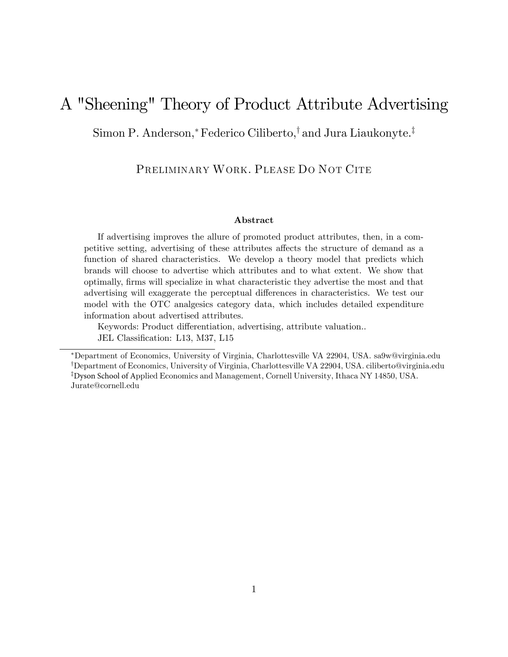# A "Sheening" Theory of Product Attribute Advertising

Simon P. Anderson,\* Federico Ciliberto, $\dagger$  and Jura Liaukonyte.<sup> $\ddagger$ </sup>

PRELIMINARY WORK. PLEASE DO NOT CITE

#### Abstract

If advertising improves the allure of promoted product attributes, then, in a competitive setting, advertising of these attributes affects the structure of demand as a function of shared characteristics. We develop a theory model that predicts which brands will choose to advertise which attributes and to what extent. We show that optimally, Örms will specialize in what characteristic they advertise the most and that advertising will exaggerate the perceptual differences in characteristics. We test our model with the OTC analgesics category data, which includes detailed expenditure information about advertised attributes.

Keywords: Product differentiation, advertising, attribute valuation... JEL Classification: L13, M37, L15

Department of Economics, University of Virginia, Charlottesville VA 22904, USA. sa9w@virginia.edu <sup>†</sup>Department of Economics, University of Virginia, Charlottesville VA 22904, USA. ciliberto@virginia.edu <sup>‡</sup>Dyson School of Applied Economics and Management, Cornell University, Ithaca NY 14850, USA. Jurate@cornell.edu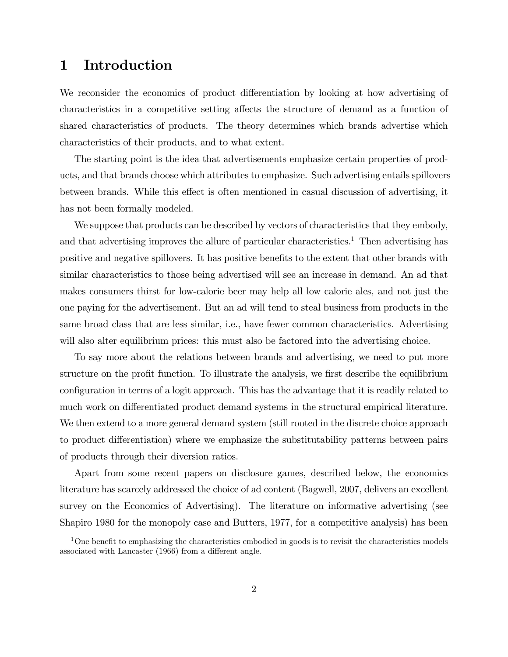## 1 Introduction

We reconsider the economics of product differentiation by looking at how advertising of characteristics in a competitive setting affects the structure of demand as a function of shared characteristics of products. The theory determines which brands advertise which characteristics of their products, and to what extent.

The starting point is the idea that advertisements emphasize certain properties of products, and that brands choose which attributes to emphasize. Such advertising entails spillovers between brands. While this effect is often mentioned in casual discussion of advertising, it has not been formally modeled.

We suppose that products can be described by vectors of characteristics that they embody, and that advertising improves the allure of particular characteristics.<sup>1</sup> Then advertising has positive and negative spillovers. It has positive benefits to the extent that other brands with similar characteristics to those being advertised will see an increase in demand. An ad that makes consumers thirst for low-calorie beer may help all low calorie ales, and not just the one paying for the advertisement. But an ad will tend to steal business from products in the same broad class that are less similar, i.e., have fewer common characteristics. Advertising will also alter equilibrium prices: this must also be factored into the advertising choice.

To say more about the relations between brands and advertising, we need to put more structure on the profit function. To illustrate the analysis, we first describe the equilibrium configuration in terms of a logit approach. This has the advantage that it is readily related to much work on differentiated product demand systems in the structural empirical literature. We then extend to a more general demand system (still rooted in the discrete choice approach to product differentiation) where we emphasize the substitutability patterns between pairs of products through their diversion ratios.

Apart from some recent papers on disclosure games, described below, the economics literature has scarcely addressed the choice of ad content (Bagwell, 2007, delivers an excellent survey on the Economics of Advertising). The literature on informative advertising (see Shapiro 1980 for the monopoly case and Butters, 1977, for a competitive analysis) has been

 $1$ One benefit to emphasizing the characteristics embodied in goods is to revisit the characteristics models associated with Lancaster  $(1966)$  from a different angle.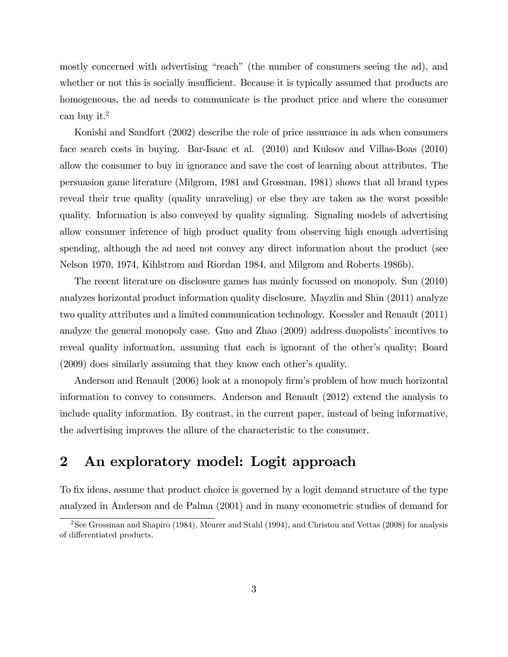mostly concerned with advertising "reach" (the number of consumers seeing the ad), and whether or not this is socially insufficient. Because it is typically assumed that products are homogeneous, the ad needs to communicate is the product price and where the consumer can buy it.<sup>2</sup>

Konishi and Sandfort (2002) describe the role of price assurance in ads when consumers face search costs in buying. Bar-Isaac et al. (2010) and Kuksov and Villas-Boas (2010) allow the consumer to buy in ignorance and save the cost of learning about attributes. The persuasion game literature (Milgrom, 1981 and Grossman, 1981) shows that all brand types reveal their true quality (quality unraveling) or else they are taken as the worst possible quality. Information is also conveyed by quality signaling. Signaling models of advertising allow consumer inference of high product quality from observing high enough advertising spending, although the ad need not convey any direct information about the product (see Nelson 1970, 1974, Kihlstrom and Riordan 1984, and Milgrom and Roberts 1986b).

The recent literature on disclosure games has mainly focussed on monopoly. Sun (2010) analyzes horizontal product information quality disclosure. Mayzlin and Shin (2011) analyze two quality attributes and a limited communication technology. Koessler and Renault (2011) analyze the general monopoly case. Guo and Zhao  $(2009)$  address duopolists' incentives to reveal quality information, assuming that each is ignorant of the other's quality; Board  $(2009)$  does similarly assuming that they know each other's quality.

Anderson and Renault (2006) look at a monopoly firm's problem of how much horizontal information to convey to consumers. Anderson and Renault (2012) extend the analysis to include quality information. By contrast, in the current paper, instead of being informative, the advertising improves the allure of the characteristic to the consumer.

## 2 An exploratory model: Logit approach

To fix ideas, assume that product choice is governed by a logit demand structure of the type analyzed in Anderson and de Palma (2001) and in many econometric studies of demand for

<sup>&</sup>lt;sup>2</sup>See Grossman and Shapiro (1984), Meurer and Stahl (1994), and Christou and Vettas (2008) for analysis of differentiated products.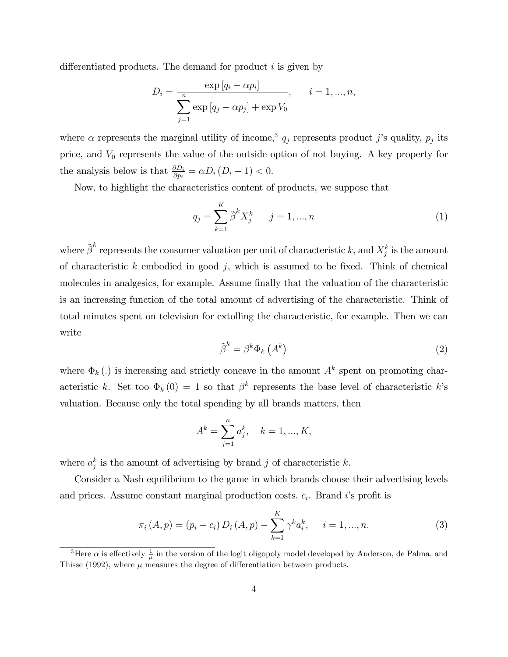differentiated products. The demand for product  $i$  is given by

$$
D_{i} = \frac{\exp [q_{i} - \alpha p_{i}]}{\sum_{j=1}^{n} \exp [q_{j} - \alpha p_{j}] + \exp V_{0}}, \quad i = 1, ..., n,
$$

where  $\alpha$  represents the marginal utility of income,<sup>3</sup>  $q_j$  represents product j's quality,  $p_j$  its price, and  $V_0$  represents the value of the outside option of not buying. A key property for the analysis below is that  $\frac{\partial D_i}{\partial p_i} = \alpha D_i (D_i - 1) < 0.$ 

Now, to highlight the characteristics content of products, we suppose that

$$
q_j = \sum_{k=1}^{K} \tilde{\beta}^k X_j^k \qquad j = 1, ..., n
$$
 (1)

where  $\tilde{\boldsymbol{\beta}}^k$  represents the consumer valuation per unit of characteristic k, and  $X_j^k$  is the amount of characteristic  $k$  embodied in good  $j$ , which is assumed to be fixed. Think of chemical molecules in analgesics, for example. Assume finally that the valuation of the characteristic is an increasing function of the total amount of advertising of the characteristic. Think of total minutes spent on television for extolling the characteristic, for example. Then we can write

$$
\tilde{\beta}^k = \beta^k \Phi_k \left( A^k \right) \tag{2}
$$

where  $\Phi_k(.)$  is increasing and strictly concave in the amount  $A^k$  spent on promoting characteristic k. Set too  $\Phi_k(0) = 1$  so that  $\beta^k$  represents the base level of characteristic k's valuation. Because only the total spending by all brands matters, then

$$
A^k = \sum_{j=1}^n a_j^k, \quad k = 1, ..., K,
$$

where  $a_j^k$  is the amount of advertising by brand j of characteristic k.

Consider a Nash equilibrium to the game in which brands choose their advertising levels and prices. Assume constant marginal production costs,  $c_i$ . Brand i's profit is

$$
\pi_i(A, p) = (p_i - c_i) D_i(A, p) - \sum_{k=1}^K \gamma^k a_i^k, \quad i = 1, ..., n.
$$
 (3)

<sup>&</sup>lt;sup>3</sup>Here  $\alpha$  is effectively  $\frac{1}{\mu}$  in the version of the logit oligopoly model developed by Anderson, de Palma, and Thisse (1992), where  $\mu$  measures the degree of differentiation between products.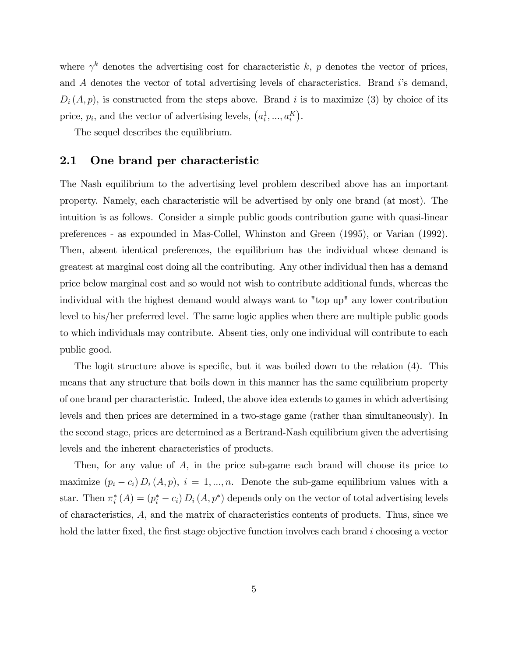where  $\gamma^k$  denotes the advertising cost for characteristic k, p denotes the vector of prices, and  $\tilde{A}$  denotes the vector of total advertising levels of characteristics. Brand is demand,  $D_i(A, p)$ , is constructed from the steps above. Brand i is to maximize (3) by choice of its price,  $p_i$ , and the vector of advertising levels,  $(a_i^1, ..., a_i^K)$ .

The sequel describes the equilibrium.

#### 2.1 One brand per characteristic

The Nash equilibrium to the advertising level problem described above has an important property. Namely, each characteristic will be advertised by only one brand (at most). The intuition is as follows. Consider a simple public goods contribution game with quasi-linear preferences - as expounded in Mas-Collel, Whinston and Green (1995), or Varian (1992). Then, absent identical preferences, the equilibrium has the individual whose demand is greatest at marginal cost doing all the contributing. Any other individual then has a demand price below marginal cost and so would not wish to contribute additional funds, whereas the individual with the highest demand would always want to "top up" any lower contribution level to his/her preferred level. The same logic applies when there are multiple public goods to which individuals may contribute. Absent ties, only one individual will contribute to each public good.

The logit structure above is specific, but it was boiled down to the relation (4). This means that any structure that boils down in this manner has the same equilibrium property of one brand per characteristic. Indeed, the above idea extends to games in which advertising levels and then prices are determined in a two-stage game (rather than simultaneously). In the second stage, prices are determined as a Bertrand-Nash equilibrium given the advertising levels and the inherent characteristics of products.

Then, for any value of A, in the price sub-game each brand will choose its price to maximize  $(p_i - c_i) D_i (A, p)$ ,  $i = 1, ..., n$ . Denote the sub-game equilibrium values with a star. Then  $\pi_i^*(A) = (p_i^* - c_i) D_i (A, p^*)$  depends only on the vector of total advertising levels of characteristics, A, and the matrix of characteristics contents of products. Thus, since we hold the latter fixed, the first stage objective function involves each brand  $i$  choosing a vector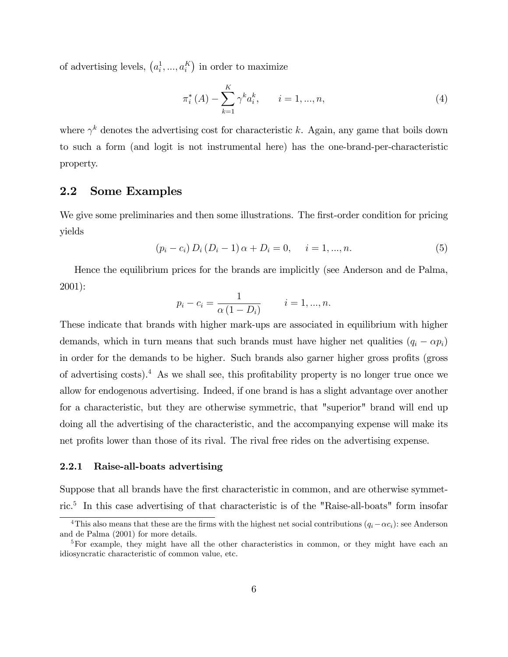of advertising levels,  $(a_i^1, ..., a_i^K)$  in order to maximize

$$
\pi_i^*(A) - \sum_{k=1}^K \gamma^k a_i^k, \qquad i = 1, ..., n,
$$
\n(4)

where  $\gamma^k$  denotes the advertising cost for characteristic k. Again, any game that boils down to such a form (and logit is not instrumental here) has the one-brand-per-characteristic property.

### 2.2 Some Examples

We give some preliminaries and then some illustrations. The first-order condition for pricing yields

$$
(p_i - c_i) D_i (D_i - 1) \alpha + D_i = 0, \quad i = 1, ..., n.
$$
 (5)

Hence the equilibrium prices for the brands are implicitly (see Anderson and de Palma, 2001):

$$
p_i - c_i = \frac{1}{\alpha (1 - D_i)}
$$
  $i = 1, ..., n.$ 

These indicate that brands with higher mark-ups are associated in equilibrium with higher demands, which in turn means that such brands must have higher net qualities  $(q_i - \alpha p_i)$ in order for the demands to be higher. Such brands also garner higher gross profits (gross of advertising costs).<sup>4</sup> As we shall see, this profitability property is no longer true once we allow for endogenous advertising. Indeed, if one brand is has a slight advantage over another for a characteristic, but they are otherwise symmetric, that "superior" brand will end up doing all the advertising of the characteristic, and the accompanying expense will make its net profits lower than those of its rival. The rival free rides on the advertising expense.

#### 2.2.1 Raise-all-boats advertising

Suppose that all brands have the first characteristic in common, and are otherwise symmetric.<sup>5</sup> In this case advertising of that characteristic is of the "Raise-all-boats" form insofar

<sup>&</sup>lt;sup>4</sup>This also means that these are the firms with the highest net social contributions  $(q_i - \alpha c_i)$ : see Anderson and de Palma (2001) for more details.

<sup>&</sup>lt;sup>5</sup>For example, they might have all the other characteristics in common, or they might have each an idiosyncratic characteristic of common value, etc.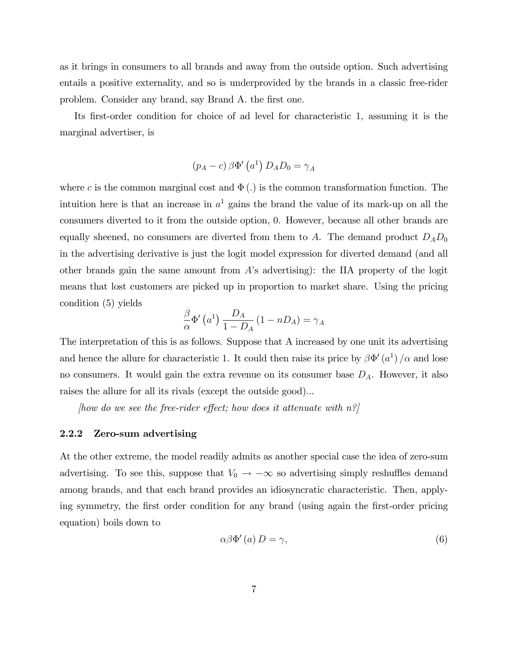as it brings in consumers to all brands and away from the outside option. Such advertising entails a positive externality, and so is underprovided by the brands in a classic free-rider problem. Consider any brand, say Brand A. the first one.

Its first-order condition for choice of ad level for characteristic 1, assuming it is the marginal advertiser, is

$$
(p_A - c) \beta \Phi'\left(a^1\right) D_A D_0 = \gamma_A
$$

where c is the common marginal cost and  $\Phi(.)$  is the common transformation function. The intuition here is that an increase in  $a<sup>1</sup>$  gains the brand the value of its mark-up on all the consumers diverted to it from the outside option, 0. However, because all other brands are equally sheened, no consumers are diverted from them to A. The demand product  $D_A D_0$ in the advertising derivative is just the logit model expression for diverted demand (and all other brands gain the same amount from  $A$ 's advertising): the IIA property of the logit means that lost customers are picked up in proportion to market share. Using the pricing condition (5) yields

$$
\frac{\beta}{\alpha} \Phi'\left(a^1\right) \frac{D_A}{1 - D_A} \left(1 - n D_A\right) = \gamma_A
$$

The interpretation of this is as follows. Suppose that A increased by one unit its advertising and hence the allure for characteristic 1. It could then raise its price by  $\beta\Phi'(a^1)/\alpha$  and lose no consumers. It would gain the extra revenue on its consumer base  $D_A$ . However, it also raises the allure for all its rivals (except the outside good)...

(how do we see the free-rider effect; how does it attenuate with  $n^2$ )

#### 2.2.2 Zero-sum advertising

At the other extreme, the model readily admits as another special case the idea of zero-sum advertising. To see this, suppose that  $V_0 \rightarrow -\infty$  so advertising simply reshuffles demand among brands, and that each brand provides an idiosyncratic characteristic. Then, applying symmetry, the first order condition for any brand (using again the first-order pricing equation) boils down to

$$
\alpha \beta \Phi'(a) D = \gamma,\tag{6}
$$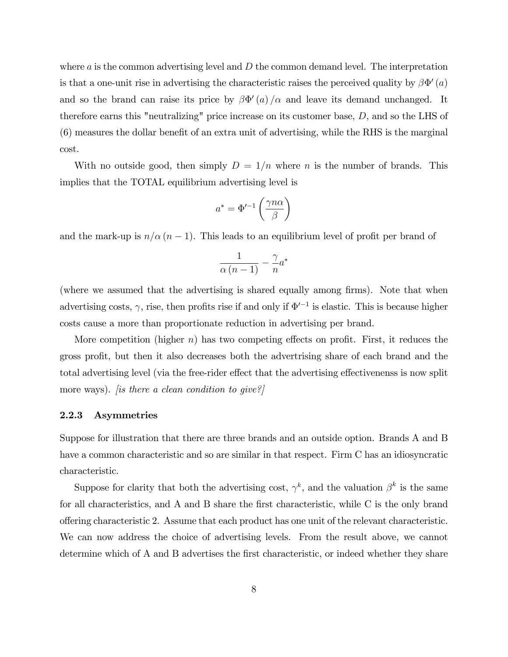where  $\alpha$  is the common advertising level and  $D$  the common demand level. The interpretation is that a one-unit rise in advertising the characteristic raises the perceived quality by  $\beta\Phi'(a)$ and so the brand can raise its price by  $\beta \Phi'(a)/\alpha$  and leave its demand unchanged. It therefore earns this "neutralizing" price increase on its customer base, D, and so the LHS of  $(6)$  measures the dollar benefit of an extra unit of advertising, while the RHS is the marginal cost.

With no outside good, then simply  $D = 1/n$  where n is the number of brands. This implies that the TOTAL equilibrium advertising level is

$$
a^*=\Phi'^{-1}\left(\frac{\gamma n\alpha}{\beta}\right)
$$

and the mark-up is  $n/\alpha (n - 1)$ . This leads to an equilibrium level of profit per brand of

$$
\frac{1}{\alpha\left(n-1\right)} - \frac{\gamma}{n}a^*
$$

(where we assumed that the advertising is shared equally among firms). Note that when advertising costs,  $\gamma$ , rise, then profits rise if and only if  $\Phi'^{-1}$  is elastic. This is because higher costs cause a more than proportionate reduction in advertising per brand.

More competition (higher n) has two competing effects on profit. First, it reduces the gross profit, but then it also decreases both the advertrising share of each brand and the total advertising level (via the free-rider effect that the advertising effectivenenss is now split more ways). *[is there a clean condition to give?]* 

#### 2.2.3 Asymmetries

Suppose for illustration that there are three brands and an outside option. Brands A and B have a common characteristic and so are similar in that respect. Firm C has an idiosyncratic characteristic.

Suppose for clarity that both the advertising cost,  $\gamma^k$ , and the valuation  $\beta^k$  is the same for all characteristics, and A and B share the first characteristic, while C is the only brand o§ering characteristic 2. Assume that each product has one unit of the relevant characteristic. We can now address the choice of advertising levels. From the result above, we cannot determine which of A and B advertises the first characteristic, or indeed whether they share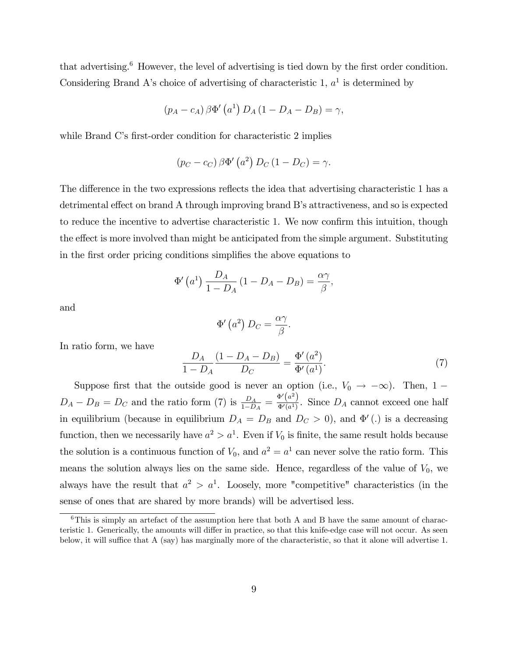that advertising. $6$  However, the level of advertising is tied down by the first order condition. Considering Brand A's choice of advertising of characteristic  $1, a<sup>1</sup>$  is determined by

$$
(p_A - c_A) \beta \Phi' (a^1) D_A (1 - D_A - D_B) = \gamma,
$$

while Brand C's first-order condition for characteristic 2 implies

$$
(p_C - c_C) \beta \Phi'\left(a^2\right) D_C \left(1 - D_C\right) = \gamma.
$$

The difference in the two expressions reflects the idea that advertising characteristic 1 has a detrimental effect on brand A through improving brand B's attractiveness, and so is expected to reduce the incentive to advertise characteristic 1. We now confirm this intuition, though the effect is more involved than might be anticipated from the simple argument. Substituting in the first order pricing conditions simplifies the above equations to

$$
\Phi'\left(a^1\right)\frac{D_A}{1-D_A}\left(1-D_A-D_B\right)=\frac{\alpha\gamma}{\beta},
$$

and

$$
\Phi'\left(a^2\right)D_C=\frac{\alpha\gamma}{\beta}.
$$

In ratio form, we have

$$
\frac{D_A}{1 - D_A} \frac{(1 - D_A - D_B)}{D_C} = \frac{\Phi'(a^2)}{\Phi'(a^1)}.
$$
\n(7)

Suppose first that the outside good is never an option (i.e.,  $V_0 \rightarrow -\infty$ ). Then, 1 –  $D_A - D_B = D_C$  and the ratio form (7) is  $\frac{D_A}{1 - D_A} = \frac{\Phi'(a^2)}{\Phi'(a^1)}$  $\frac{\partial^2 (a)}{\partial q^2}$ . Since  $D_A$  cannot exceed one half in equilibrium (because in equilibrium  $D_A = D_B$  and  $D_C > 0$ ), and  $\Phi'$  (.) is a decreasing function, then we necessarily have  $a^2 > a^1$ . Even if  $V_0$  is finite, the same result holds because the solution is a continuous function of  $V_0$ , and  $a^2 = a^1$  can never solve the ratio form. This means the solution always lies on the same side. Hence, regardless of the value of  $V_0$ , we always have the result that  $a^2 > a^1$ . Loosely, more "competitive" characteristics (in the sense of ones that are shared by more brands) will be advertised less.

 $6$ This is simply an artefact of the assumption here that both A and B have the same amount of characteristic 1. Generically, the amounts will differ in practice, so that this knife-edge case will not occur. As seen below, it will suffice that A (say) has marginally more of the characteristic, so that it alone will advertise 1.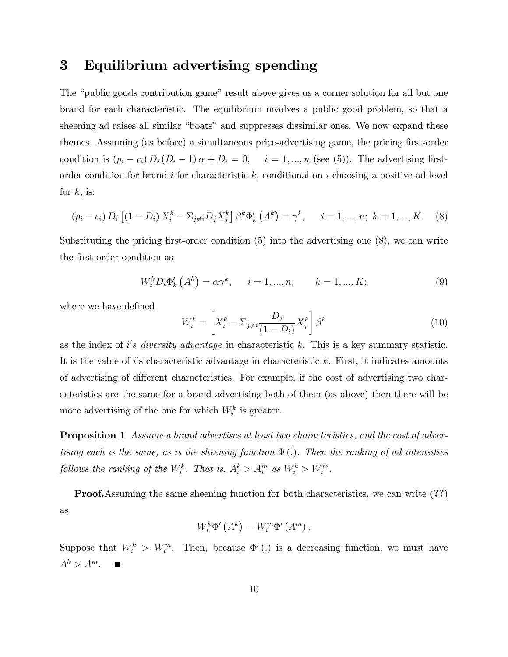## 3 Equilibrium advertising spending

The "public goods contribution game" result above gives us a corner solution for all but one brand for each characteristic. The equilibrium involves a public good problem, so that a sheening ad raises all similar "boats" and suppresses dissimilar ones. We now expand these themes. Assuming (as before) a simultaneous price-advertising game, the pricing first-order condition is  $(p_i - c_i) D_i (D_i - 1) \alpha + D_i = 0$ ,  $i = 1, ..., n$  (see (5)). The advertising firstorder condition for brand  $i$  for characteristic  $k$ , conditional on  $i$  choosing a positive ad level for  $k$ , is:

$$
(p_i - c_i) D_i [(1 - D_i) X_i^k - \Sigma_{j \neq i} D_j X_j^k] \beta^k \Phi'_k (A^k) = \gamma^k, \quad i = 1, ..., n; k = 1, ..., K.
$$
 (8)

Substituting the pricing first-order condition  $(5)$  into the advertising one  $(8)$ , we can write the first-order condition as

$$
W_i^k D_i \Phi'_k \left( A^k \right) = \alpha \gamma^k, \quad i = 1, ..., n; \quad k = 1, ..., K; \tag{9}
$$

where we have defined

$$
W_i^k = \left[ X_i^k - \sum_{j \neq i} \frac{D_j}{(1 - D_i)} X_j^k \right] \beta^k \tag{10}
$$

as the index of i's diversity advantage in characteristic  $k$ . This is a key summary statistic. It is the value of  $i$ 's characteristic advantage in characteristic  $k$ . First, it indicates amounts of advertising of different characteristics. For example, if the cost of advertising two characteristics are the same for a brand advertising both of them (as above) then there will be more advertising of the one for which  $W_i^k$  is greater.

**Proposition 1** Assume a brand advertises at least two characteristics, and the cost of advertising each is the same, as is the sheening function  $\Phi(.)$ . Then the ranking of ad intensities follows the ranking of the  $W_i^k$ . That is,  $A_i^k > A_i^m$  as  $W_i^k > W_i^m$ .

**Proof.**Assuming the same sheening function for both characteristics, we can write  $(??)$ as

$$
W_i^k \Phi'\left(A^k\right) = W_i^m \Phi'\left(A^m\right).
$$

Suppose that  $W_i^k > W_i^m$ . Then, because  $\Phi'$  (.) is a decreasing function, we must have  $A^k > A^m$ .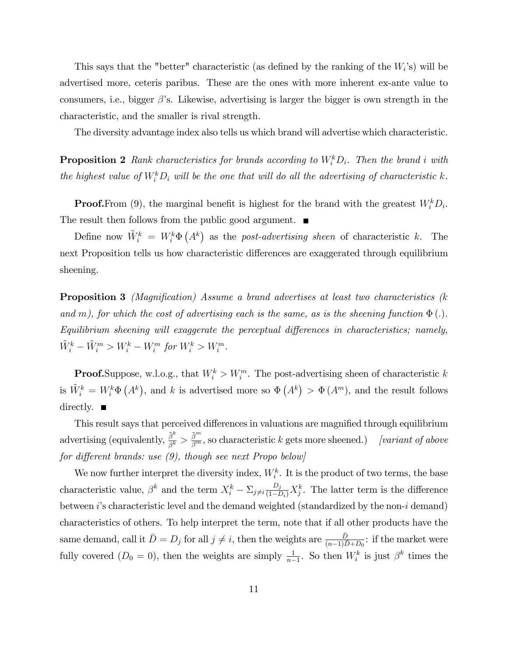This says that the "better" characteristic (as defined by the ranking of the  $W_i$ 's) will be advertised more, ceteris paribus. These are the ones with more inherent ex-ante value to consumers, i.e., bigger  $\beta$ 's. Likewise, advertising is larger the bigger is own strength in the characteristic, and the smaller is rival strength.

The diversity advantage index also tells us which brand will advertise which characteristic.

**Proposition 2** Rank characteristics for brands according to  $W_i^k D_i$ . Then the brand i with the highest value of  $W_i^k D_i$  will be the one that will do all the advertising of characteristic k.

**Proof.**From (9), the marginal benefit is highest for the brand with the greatest  $W_i^k D_i$ . The result then follows from the public good argument.  $\blacksquare$ 

Define now  $\tilde{W}_i^k = W_i^k \Phi(A^k)$  as the post-advertising sheen of characteristic k. The next Proposition tells us how characteristic differences are exaggerated through equilibrium sheening.

**Proposition 3** (Magnification) Assume a brand advertises at least two characteristics ( $k$ and m), for which the cost of advertising each is the same, as is the sheening function  $\Phi(.)$ . Equilibrium sheening will exaggerate the perceptual differences in characteristics; namely,  $\tilde{W}_{i}^{k} - \tilde{W}_{i}^{m} > W_{i}^{k} - W_{i}^{m}$  for  $W_{i}^{k} > W_{i}^{m}$ .

**Proof.** Suppose, w.l.o.g., that  $W_i^k > W_i^m$ . The post-advertising sheen of characteristic k is  $\tilde{W}_i^k = W_i^k \Phi(A^k)$ , and k is advertised more so  $\Phi(A^k) > \Phi(A^m)$ , and the result follows directly.  $\blacksquare$ 

This result says that perceived differences in valuations are magnified through equilibrium advertising (equivalently,  $\frac{\tilde{\beta}^k}{\beta^k}$  $\frac{\tilde{\beta}^k}{\beta^k} > \frac{\tilde{\beta}^m}{\beta^m}$ , so characteristic k gets more sheened.) [variant of above for different brands: use  $(9)$ , though see next Propo below

We now further interpret the diversity index,  $W_i^k$ . It is the product of two terms, the base characteristic value,  $\beta^k$  and the term  $X_i^k - \sum_{j \neq i} \frac{D_j}{(1-D_i)} X_j^k$ . The latter term is the difference between  $i$ 's characteristic level and the demand weighted (standardized by the non- $i$  demand) characteristics of others. To help interpret the term, note that if all other products have the same demand, call it  $\bar{D} = D_j$  for all  $j \neq i$ , then the weights are  $\frac{\bar{D}}{(n-1)\bar{D}+D_0}$ : if the market were fully covered  $(D_0 = 0)$ , then the weights are simply  $\frac{1}{n-1}$ . So then  $W_i^k$  is just  $\beta^k$  times the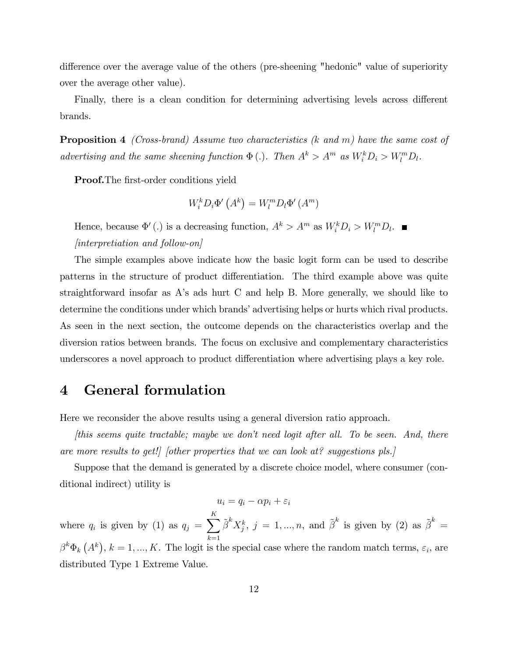difference over the average value of the others (pre-sheening "hedonic" value of superiority over the average other value).

Finally, there is a clean condition for determining advertising levels across different brands.

**Proposition 4** (Cross-brand) Assume two characteristics  $(k \text{ and } m)$  have the same cost of advertising and the same sheening function  $\Phi(.)$ . Then  $A^k > A^m$  as  $W_i^k D_i > W_l^m D_l$ .

**Proof.**The first-order conditions yield

$$
W_i^k D_i \Phi'\left(A^k\right) = W_l^m D_l \Phi'\left(A^m\right)
$$

Hence, because  $\Phi'$  (.) is a decreasing function,  $A^k > A^m$  as  $W_i^k D_i > W_i^m D_i$ . [interpretiation and follow-on]

The simple examples above indicate how the basic logit form can be used to describe patterns in the structure of product differentiation. The third example above was quite straightforward insofar as A's ads hurt C and help B. More generally, we should like to determine the conditions under which brands' advertising helps or hurts which rival products. As seen in the next section, the outcome depends on the characteristics overlap and the diversion ratios between brands. The focus on exclusive and complementary characteristics underscores a novel approach to product differentiation where advertising plays a key role.

### 4 General formulation

Here we reconsider the above results using a general diversion ratio approach.

 $[this seems quite tractable; maybe we don't need logit after all. To be seen. And, there$ are more results to get! [ other properties that we can look at? suggestions pls.]

Suppose that the demand is generated by a discrete choice model, where consumer (conditional indirect) utility is

$$
u_i = q_i - \alpha p_i + \varepsilon_i
$$

where  $q_i$  is given by (1) as  $q_j = \sum_{i=1}^K$  $k=1$  $\tilde{\beta}^k X_j^k$ ,  $j = 1, ..., n$ , and  $\tilde{\beta}^k$  is given by (2) as  $\tilde{\beta}^k =$  $\beta^k \Phi_k(\Lambda^k), k = 1, ..., K$ . The logit is the special case where the random match terms,  $\varepsilon_i$ , are distributed Type 1 Extreme Value.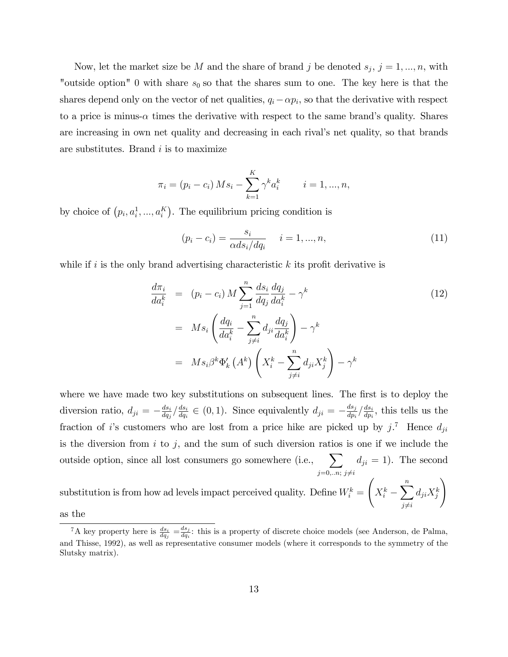Now, let the market size be M and the share of brand j be denoted  $s_j$ ,  $j = 1, ..., n$ , with "outside option" 0 with share  $s_0$  so that the shares sum to one. The key here is that the shares depend only on the vector of net qualities,  $q_i - \alpha p_i$ , so that the derivative with respect to a price is minus- $\alpha$  times the derivative with respect to the same brand's quality. Shares are increasing in own net quality and decreasing in each rival's net quality, so that brands are substitutes. Brand  $i$  is to maximize

$$
\pi_i = (p_i - c_i) \, Ms_i - \sum_{k=1}^K \gamma^k a_i^k \qquad i = 1, ..., n,
$$

by choice of  $(p_i, a_i^1, ..., a_i^K)$ . The equilibrium pricing condition is

$$
(p_i - c_i) = \frac{s_i}{\alpha ds_i / dq_i} \quad i = 1, ..., n,
$$
\n(11)

while if i is the only brand advertising characteristic  $k$  its profit derivative is

$$
\frac{d\pi_i}{da_i^k} = (p_i - c_i) M \sum_{j=1}^n \frac{ds_i}{dq_j} \frac{dq_j}{da_i^k} - \gamma^k
$$
\n
$$
= M s_i \left( \frac{dq_i}{da_i^k} - \sum_{j \neq i}^n d_{ji} \frac{dq_j}{da_i^k} \right) - \gamma^k
$$
\n
$$
= M s_i \beta^k \Phi'_k \left( A^k \right) \left( X_i^k - \sum_{j \neq i}^n d_{ji} X_j^k \right) - \gamma^k
$$
\n(12)

where we have made two key substitutions on subsequent lines. The first is to deploy the diversion ratio,  $d_{ji} = -\frac{ds_i}{dq_j}$  $\frac{ds_i}{dq_j}/\frac{ds_i}{dq_i}$  $\frac{ds_i}{dq_i} \in (0, 1)$ . Since equivalently  $d_{ji} = -\frac{ds_j}{dp_i}$  $\frac{ds_j}{dp_i} \big/ \frac{ds_i}{dp_i}$  $\frac{ds_i}{dp_i}$ , this tells us the fraction of *i*'s customers who are lost from a price hike are picked up by  $j$ <sup>7</sup>. Hence  $d_{ji}$ is the diversion from  $i$  to  $j$ , and the sum of such diversion ratios is one if we include the outside option, since all lost consumers go somewhere (i.e.,  $\sum$ )  $j=0,...n; j \neq i$  $d_{ji} = 1$ ). The second

substitution is from how ad levels impact perceived quality. Define  $W_i^k =$  $\sqrt{ }$  $X_i^k$  –  $\sum_{n=1}^{\infty}$  $j\neq i$  $d_{ji}X_j^k$  $\setminus$ 

as the

<sup>&</sup>lt;sup>7</sup>A key property here is  $\frac{ds_i}{dq_j} = \frac{ds_j}{dq_i}$  $\frac{ds_j}{dq_i}$ : this is a property of discrete choice models (see Anderson, de Palma, and Thisse, 1992), as well as representative consumer models (where it corresponds to the symmetry of the Slutsky matrix).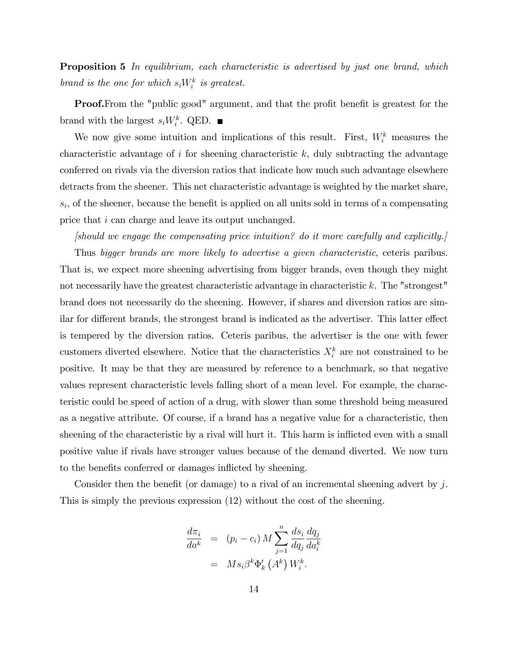**Proposition 5** In equilibrium, each characteristic is advertised by just one brand, which brand is the one for which  $s_i W_i^k$  is greatest.

**Proof.**From the "public good" argument, and that the profit benefit is greatest for the brand with the largest  $s_iW_i^k$ . QED.

We now give some intuition and implications of this result. First,  $W_i^k$  measures the characteristic advantage of  $i$  for sheening characteristic  $k$ , duly subtracting the advantage conferred on rivals via the diversion ratios that indicate how much such advantage elsewhere detracts from the sheener. This net characteristic advantage is weighted by the market share,  $s_i$ , of the sheener, because the benefit is applied on all units sold in terms of a compensating price that i can charge and leave its output unchanged.

[should we engage the compensating price intuition? do it more carefully and explicitly.] Thus bigger brands are more likely to advertise a given characteristic, ceteris paribus. That is, we expect more sheening advertising from bigger brands, even though they might not necessarily have the greatest characteristic advantage in characteristic k. The "strongest" brand does not necessarily do the sheening. However, if shares and diversion ratios are similar for different brands, the strongest brand is indicated as the advertiser. This latter effect is tempered by the diversion ratios. Ceteris paribus, the advertiser is the one with fewer customers diverted elsewhere. Notice that the characteristics  $X_i^k$  are not constrained to be positive. It may be that they are measured by reference to a benchmark, so that negative values represent characteristic levels falling short of a mean level. For example, the characteristic could be speed of action of a drug, with slower than some threshold being measured as a negative attribute. Of course, if a brand has a negative value for a characteristic, then sheening of the characteristic by a rival will hurt it. This harm is inflicted even with a small positive value if rivals have stronger values because of the demand diverted. We now turn

Consider then the benefit (or damage) to a rival of an incremental sheening advert by j. This is simply the previous expression (12) without the cost of the sheening.

to the benefits conferred or damages inflicted by sheening.

$$
\frac{d\pi_i}{da^k} = (p_i - c_i) M \sum_{j=1}^n \frac{ds_i}{dq_j} \frac{dq_j}{da_i^k}
$$

$$
= M s_i \beta^k \Phi'_k (A^k) W_i^k.
$$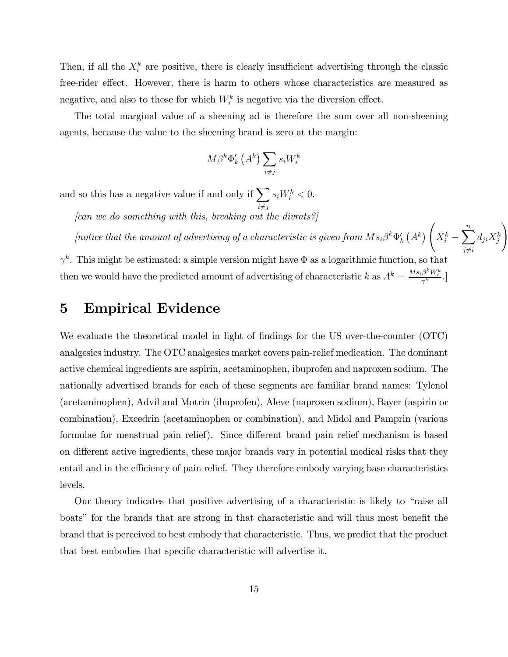Then, if all the  $X_i^k$  are positive, there is clearly insufficient advertising through the classic free-rider effect. However, there is harm to others whose characteristics are measured as negative, and also to those for which  $W_i^k$  is negative via the diversion effect.

The total marginal value of a sheening ad is therefore the sum over all non-sheening agents, because the value to the sheening brand is zero at the margin:

$$
M\beta^k \Phi'_k\left(A^k\right) \sum_{i \neq j} s_i W_i^k
$$

and so this has a negative value if and only if  $\sum s_i W_i^k < 0$ .  $i \neq j$ 

[can we do something with this, breaking out the divrats?]

[notice that the amount of advertising of a characteristic is given from  $Ms_i\beta^k\Phi'_k(A^k)$  $\sqrt{ }$  $X_i^k$  –  $\sum_{n=1}^{\infty}$  $d_{ji}X_j^k$ 

 $j\neq i$ 

 $\setminus$ 

 $\gamma^k$ . This might be estimated: a simple version might have  $\Phi$  as a logarithmic function, so that then we would have the predicted amount of advertising of characteristic k as  $A^k = \frac{Ms_i \beta^k W_i^k}{\gamma^k}$ .

## 5 Empirical Evidence

We evaluate the theoretical model in light of findings for the US over-the-counter (OTC) analgesics industry. The OTC analgesics market covers pain-relief medication. The dominant active chemical ingredients are aspirin, acetaminophen, ibuprofen and naproxen sodium. The nationally advertised brands for each of these segments are familiar brand names: Tylenol (acetaminophen), Advil and Motrin (ibuprofen), Aleve (naproxen sodium), Bayer (aspirin or combination), Excedrin (acetaminophen or combination), and Midol and Pamprin (various formulae for menstrual pain relief). Since different brand pain relief mechanism is based on different active ingredients, these major brands vary in potential medical risks that they entail and in the efficiency of pain relief. They therefore embody varying base characteristics levels.

Our theory indicates that positive advertising of a characteristic is likely to "raise all boats" for the brands that are strong in that characteristic and will thus most benefit the brand that is perceived to best embody that characteristic. Thus, we predict that the product that best embodies that specific characteristic will advertise it.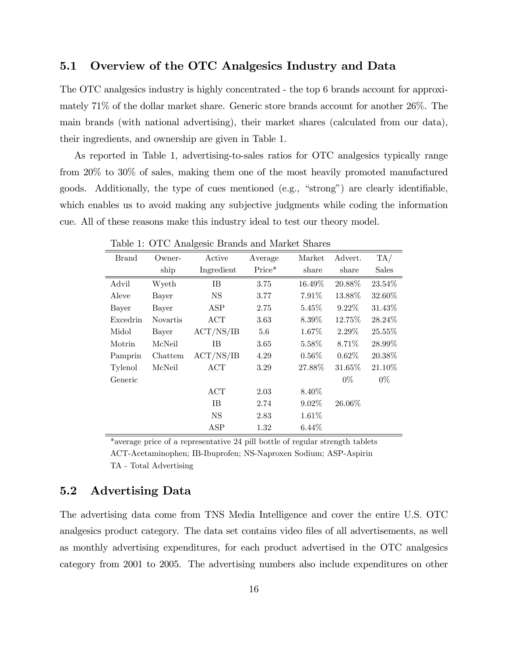### 5.1 Overview of the OTC Analgesics Industry and Data

The OTC analgesics industry is highly concentrated - the top 6 brands account for approximately 71% of the dollar market share. Generic store brands account for another 26%. The main brands (with national advertising), their market shares (calculated from our data), their ingredients, and ownership are given in Table 1.

As reported in Table 1, advertising-to-sales ratios for OTC analgesics typically range from 20% to 30% of sales, making them one of the most heavily promoted manufactured goods. Additionally, the type of cues mentioned  $(e.g., "strong")$  are clearly identifiable, which enables us to avoid making any subjective judgments while coding the information cue. All of these reasons make this industry ideal to test our theory model.

| Brand           | Owner-          | Active     | Average | Market   | Advert.  | TA/     |
|-----------------|-----------------|------------|---------|----------|----------|---------|
|                 | ship            | Ingredient | Price*  | share    | share    | Sales   |
| Advil           | Wyeth           | IΒ.        | 3.75    | 16.49%   | 20.88%   | 23.54%  |
| Aleve           | Bayer           | <b>NS</b>  | 3.77    | $7.91\%$ | 13.88%   | 32.60\% |
| Bayer           | Bayer           | <b>ASP</b> | 2.75    | 5.45%    | $9.22\%$ | 31.43\% |
| <b>Excedrin</b> | <b>Novartis</b> | ACT        | 3.63    | $8.39\%$ | 12.75%   | 28.24\% |
| Midol           | Bayer           | ACT/NS/IB  | 5.6     | 1.67%    | $2.29\%$ | 25.55%  |
| Motrin          | McNeil          | ĪΒ         | 3.65    | 5.58%    | 8.71\%   | 28.99%  |
| Pamprin         | Chattem         | ACT/NS/IB  | 4.29    | $0.56\%$ | $0.62\%$ | 20.38\% |
| Tylenol         | McNeil          | ACT        | 3.29    | 27.88%   | 31.65%   | 21.10\% |
| Generic         |                 |            |         |          | $0\%$    | $0\%$   |
|                 |                 | ACT        | 2.03    | 8.40%    |          |         |
|                 |                 | IΒ.        | 2.74    | $9.02\%$ | 26.06%   |         |
|                 |                 | <b>NS</b>  | 2.83    | 1.61\%   |          |         |
|                 |                 | ASP        | 1.32    | $6.44\%$ |          |         |

Table 1: OTC Analgesic Brands and Market Shares

\*average price of a representative 24 pill bottle of regular strength tablets ACT-Acetaminophen; IB-Ibuprofen; NS-Naproxen Sodium; ASP-Aspirin TA - Total Advertising

### 5.2 Advertising Data

The advertising data come from TNS Media Intelligence and cover the entire U.S. OTC analgesics product category. The data set contains video files of all advertisements, as well as monthly advertising expenditures, for each product advertised in the OTC analgesics category from 2001 to 2005. The advertising numbers also include expenditures on other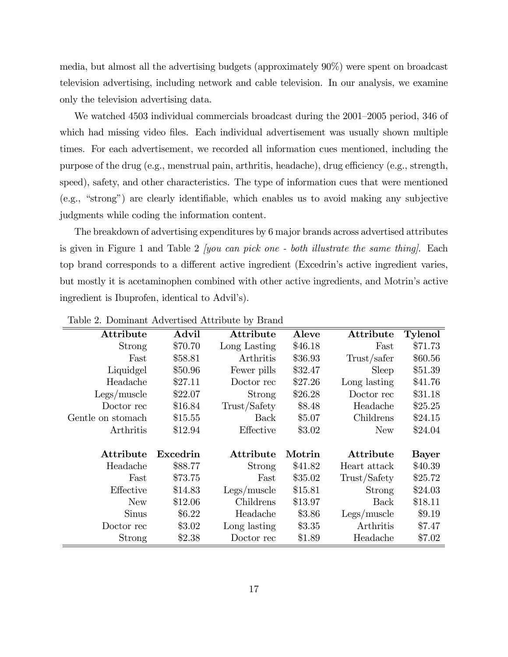media, but almost all the advertising budgets (approximately 90%) were spent on broadcast television advertising, including network and cable television. In our analysis, we examine only the television advertising data.

We watched 4503 individual commercials broadcast during the 2001–2005 period, 346 of which had missing video files. Each individual advertisement was usually shown multiple times. For each advertisement, we recorded all information cues mentioned, including the purpose of the drug (e.g., menstrual pain, arthritis, headache), drug efficiency (e.g., strength, speed), safety, and other characteristics. The type of information cues that were mentioned  $(e.g., "strong")$  are clearly identifiable, which enables us to avoid making any subjective judgments while coding the information content.

The breakdown of advertising expenditures by 6 major brands across advertised attributes is given in Figure 1 and Table 2 *[you can pick one - both illustrate the same thing]*. Each top brand corresponds to a different active ingredient (Excedrin's active ingredient varies, but mostly it is acetaminophen combined with other active ingredients, and Motrin's active ingredient is Ibuprofen, identical to Advil's).

| Attribute         | Advil    | Attribute    | Aleve   | Attribute    | <b>Tylenol</b> |
|-------------------|----------|--------------|---------|--------------|----------------|
| Strong            | \$70.70  | Long Lasting | \$46.18 | Fast         | \$71.73        |
| Fast              | \$58.81  | Arthritis    | \$36.93 | Trust/safer  | \$60.56        |
| Liquidgel         | \$50.96  | Fewer pills  | \$32.47 | Sleep        | \$51.39        |
| Headache          | \$27.11  | Doctor rec   | \$27.26 | Long lasting | \$41.76        |
| Legs/muscle       | \$22.07  | Strong       | \$26.28 | Doctor rec   | \$31.18        |
| Doctor rec        | \$16.84  | Trust/Safety | \$8.48  | Headache     | \$25.25        |
| Gentle on stomach | \$15.55  | Back         | \$5.07  | Childrens    | \$24.15        |
| Arthritis         | \$12.94  | Effective    | \$3.02  | <b>New</b>   | \$24.04        |
|                   |          |              |         |              |                |
| Attribute         | Excedrin | Attribute    | Motrin  | Attribute    | <b>Bayer</b>   |
| Headache          | \$88.77  | Strong       | \$41.82 | Heart attack | \$40.39        |
| Fast              | \$73.75  | Fast         | \$35.02 | Trust/Safety | \$25.72        |
| Effective         | \$14.83  | Legs/muscle  | \$15.81 | Strong       | \$24.03        |
| New               | \$12.06  | Childrens    | \$13.97 | Back         | \$18.11        |
| <b>Sinus</b>      | \$6.22   | Headache     | \$3.86  | Legs/muscle  | \$9.19         |
| Doctor rec        | \$3.02   | Long lasting | \$3.35  | Arthritis    | \$7.47         |
| Strong            | \$2.38   | Doctor rec   | \$1.89  | Headache     | \$7.02         |

Table 2. Dominant Advertised Attribute by Brand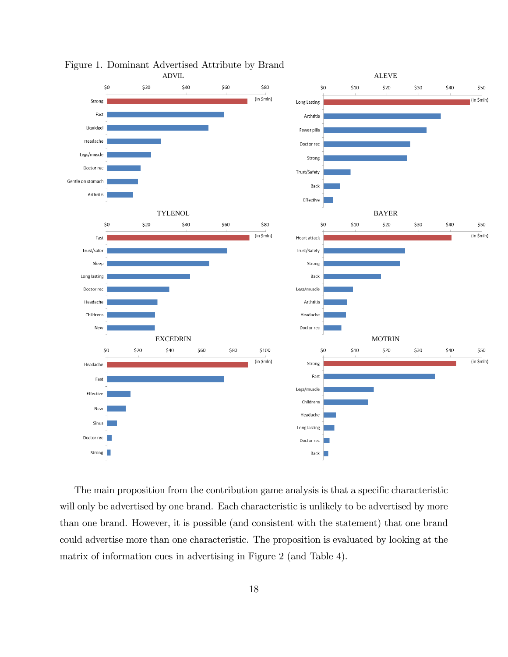

Figure 1. Dominant Advertised Attribute by Brand

The main proposition from the contribution game analysis is that a specific characteristic will only be advertised by one brand. Each characteristic is unlikely to be advertised by more than one brand. However, it is possible (and consistent with the statement) that one brand could advertise more than one characteristic. The proposition is evaluated by looking at the matrix of information cues in advertising in Figure 2 (and Table 4).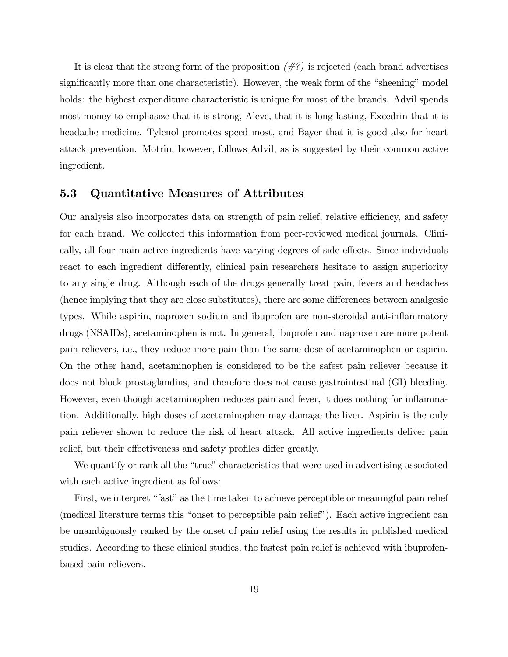It is clear that the strong form of the proposition  $(\#?)$  is rejected (each brand advertises significantly more than one characteristic). However, the weak form of the "sheening" model holds: the highest expenditure characteristic is unique for most of the brands. Advil spends most money to emphasize that it is strong, Aleve, that it is long lasting, Excedrin that it is headache medicine. Tylenol promotes speed most, and Bayer that it is good also for heart attack prevention. Motrin, however, follows Advil, as is suggested by their common active ingredient.

### 5.3 Quantitative Measures of Attributes

Our analysis also incorporates data on strength of pain relief, relative efficiency, and safety for each brand. We collected this information from peer-reviewed medical journals. Clinically, all four main active ingredients have varying degrees of side effects. Since individuals react to each ingredient differently, clinical pain researchers hesitate to assign superiority to any single drug. Although each of the drugs generally treat pain, fevers and headaches (hence implying that they are close substitutes), there are some differences between analgesic types. While aspirin, naproxen sodium and ibuprofen are non-steroidal anti-ináammatory drugs (NSAIDs), acetaminophen is not. In general, ibuprofen and naproxen are more potent pain relievers, i.e., they reduce more pain than the same dose of acetaminophen or aspirin. On the other hand, acetaminophen is considered to be the safest pain reliever because it does not block prostaglandins, and therefore does not cause gastrointestinal (GI) bleeding. However, even though acetaminophen reduces pain and fever, it does nothing for inflammation. Additionally, high doses of acetaminophen may damage the liver. Aspirin is the only pain reliever shown to reduce the risk of heart attack. All active ingredients deliver pain relief, but their effectiveness and safety profiles differ greatly.

We quantify or rank all the "true" characteristics that were used in advertising associated with each active ingredient as follows:

First, we interpret "fast" as the time taken to achieve perceptible or meaningful pain relief (medical literature terms this "onset to perceptible pain relief"). Each active ingredient can be unambiguously ranked by the onset of pain relief using the results in published medical studies. According to these clinical studies, the fastest pain relief is achicved with ibuprofenbased pain relievers.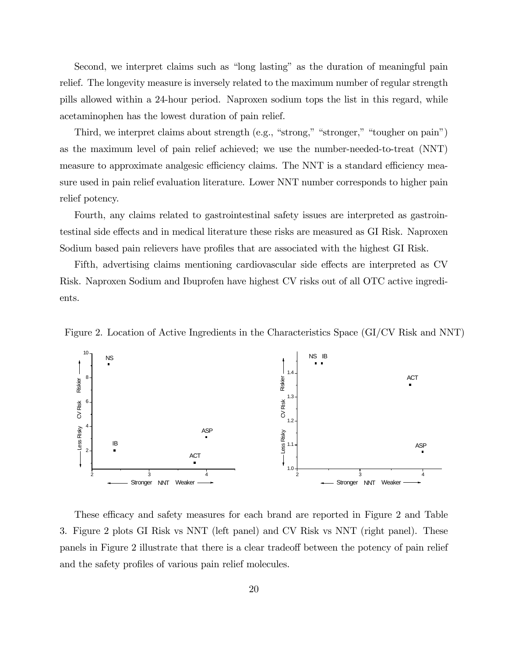Second, we interpret claims such as "long lasting" as the duration of meaningful pain relief. The longevity measure is inversely related to the maximum number of regular strength pills allowed within a 24-hour period. Naproxen sodium tops the list in this regard, while acetaminophen has the lowest duration of pain relief.

Third, we interpret claims about strength (e.g., "strong," "stronger," "tougher on pain") as the maximum level of pain relief achieved; we use the number-needed-to-treat (NNT) measure to approximate analgesic efficiency claims. The NNT is a standard efficiency measure used in pain relief evaluation literature. Lower NNT number corresponds to higher pain relief potency.

Fourth, any claims related to gastrointestinal safety issues are interpreted as gastrointestinal side effects and in medical literature these risks are measured as GI Risk. Naproxen Sodium based pain relievers have profiles that are associated with the highest GI Risk.

Fifth, advertising claims mentioning cardiovascular side effects are interpreted as CV Risk. Naproxen Sodium and Ibuprofen have highest CV risks out of all OTC active ingredients.





These efficacy and safety measures for each brand are reported in Figure 2 and Table 3. Figure 2 plots GI Risk vs NNT (left panel) and CV Risk vs NNT (right panel). These panels in Figure 2 illustrate that there is a clear tradeoff between the potency of pain relief and the safety profiles of various pain relief molecules.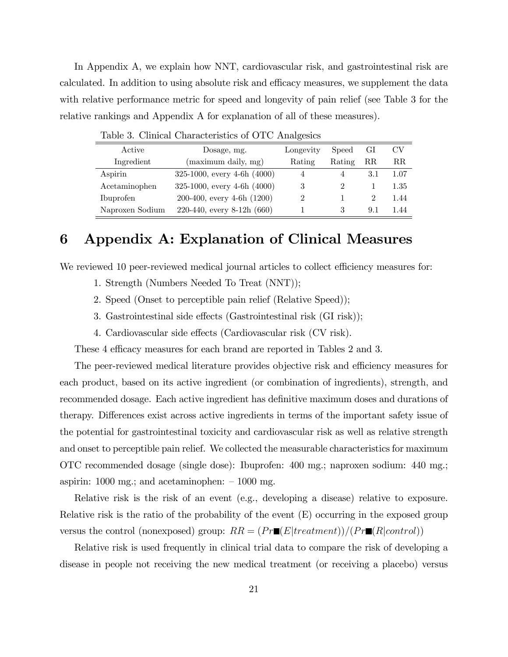In Appendix A, we explain how NNT, cardiovascular risk, and gastrointestinal risk are calculated. In addition to using absolute risk and efficacy measures, we supplement the data with relative performance metric for speed and longevity of pain relief (see Table 3 for the relative rankings and Appendix A for explanation of all of these measures).

| Active          | Dosage, mg.                     | Longevity | Speed          | GI             | CV          |
|-----------------|---------------------------------|-----------|----------------|----------------|-------------|
| Ingredient      | (maximum daily, mg)             | Rating    | Rating         | $_{\rm RR}$    | $_{\rm RR}$ |
| Aspirin         | 325-1000, every 4-6h $(4000)$   |           |                | 3.1            | 1.07        |
| Acetaminophen   | 325-1000, every 4-6h $(4000)$   | 3         | $\overline{2}$ |                | $1.35\,$    |
| Ibuprofen       | $200-400$ , every $4-6h(1200)$  |           |                | $\overline{2}$ | 1.44        |
| Naproxen Sodium | $220-440$ , every 8-12h $(660)$ |           | 3              | 9.1            | 1.44        |

Table 3. Clinical Characteristics of OTC Analgesics

## 6 Appendix A: Explanation of Clinical Measures

We reviewed 10 peer-reviewed medical journal articles to collect efficiency measures for:

- 1. Strength (Numbers Needed To Treat (NNT));
- 2. Speed (Onset to perceptible pain relief (Relative Speed));
- 3. Gastrointestinal side effects (Gastrointestinal risk  $(GI$  risk));
- 4. Cardiovascular side effects (Cardiovascular risk (CV risk).

These 4 efficacy measures for each brand are reported in Tables 2 and 3.

The peer-reviewed medical literature provides objective risk and efficiency measures for each product, based on its active ingredient (or combination of ingredients), strength, and recommended dosage. Each active ingredient has definitive maximum doses and durations of therapy. Differences exist across active ingredients in terms of the important safety issue of the potential for gastrointestinal toxicity and cardiovascular risk as well as relative strength and onset to perceptible pain relief. We collected the measurable characteristics for maximum OTC recommended dosage (single dose): Ibuprofen: 400 mg.; naproxen sodium: 440 mg.; aspirin:  $1000 \text{ mg}$ ; and acetaminophen:  $-1000 \text{ mg}$ .

Relative risk is the risk of an event (e.g., developing a disease) relative to exposure. Relative risk is the ratio of the probability of the event (E) occurring in the exposed group versus the control (nonexposed) group:  $RR = (Pr \blacksquare (E | treatment))/(Pr \blacksquare (R | control))$ 

Relative risk is used frequently in clinical trial data to compare the risk of developing a disease in people not receiving the new medical treatment (or receiving a placebo) versus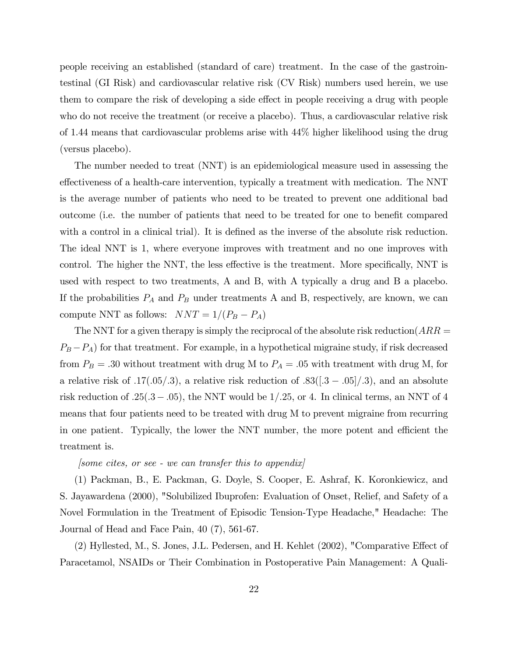people receiving an established (standard of care) treatment. In the case of the gastrointestinal (GI Risk) and cardiovascular relative risk (CV Risk) numbers used herein, we use them to compare the risk of developing a side effect in people receiving a drug with people who do not receive the treatment (or receive a placebo). Thus, a cardiovascular relative risk of 1.44 means that cardiovascular problems arise with 44% higher likelihood using the drug (versus placebo).

The number needed to treat (NNT) is an epidemiological measure used in assessing the effectiveness of a health-care intervention, typically a treatment with medication. The NNT is the average number of patients who need to be treated to prevent one additional bad outcome (i.e. the number of patients that need to be treated for one to benefit compared with a control in a clinical trial). It is defined as the inverse of the absolute risk reduction. The ideal NNT is 1, where everyone improves with treatment and no one improves with control. The higher the NNT, the less effective is the treatment. More specifically, NNT is used with respect to two treatments, A and B, with A typically a drug and B a placebo. If the probabilities  $P_A$  and  $P_B$  under treatments A and B, respectively, are known, we can compute NNT as follows:  $NNT = 1/(P_B - P_A)$ 

The NNT for a given therapy is simply the reciprocal of the absolute risk reduction( $ARR =$  $P_B - P_A$ ) for that treatment. For example, in a hypothetical migraine study, if risk decreased from  $P_B = .30$  without treatment with drug M to  $P_A = .05$  with treatment with drug M, for a relative risk of  $.17(.05/.3)$ , a relative risk reduction of  $.83([.3-.05]/.3)$ , and an absolute risk reduction of  $.25(.3-.05)$ , the NNT would be  $1/.25$ , or 4. In clinical terms, an NNT of 4 means that four patients need to be treated with drug M to prevent migraine from recurring in one patient. Typically, the lower the NNT number, the more potent and efficient the treatment is.

#### $|some\;cites,\;or\;see\;-we\;can\;transfer\;this\;to\;appendix|$

(1) Packman, B., E. Packman, G. Doyle, S. Cooper, E. Ashraf, K. Koronkiewicz, and S. Jayawardena (2000), "Solubilized Ibuprofen: Evaluation of Onset, Relief, and Safety of a Novel Formulation in the Treatment of Episodic Tension-Type Headache," Headache: The Journal of Head and Face Pain, 40 (7), 561-67.

 $(2)$  Hyllested, M., S. Jones, J.L. Pedersen, and H. Kehlet  $(2002)$ , "Comparative Effect of Paracetamol, NSAIDs or Their Combination in Postoperative Pain Management: A Quali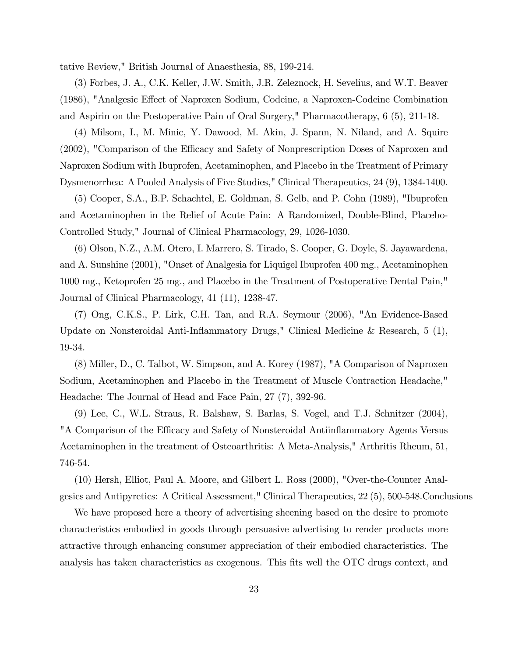tative Review," British Journal of Anaesthesia, 88, 199-214.

(3) Forbes, J. A., C.K. Keller, J.W. Smith, J.R. Zeleznock, H. Sevelius, and W.T. Beaver (1986), "Analgesic Effect of Naproxen Sodium, Codeine, a Naproxen-Codeine Combination and Aspirin on the Postoperative Pain of Oral Surgery," Pharmacotherapy, 6 (5), 211-18.

(4) Milsom, I., M. Minic, Y. Dawood, M. Akin, J. Spann, N. Niland, and A. Squire  $(2002)$ , "Comparison of the Efficacy and Safety of Nonprescription Doses of Naproxen and Naproxen Sodium with Ibuprofen, Acetaminophen, and Placebo in the Treatment of Primary Dysmenorrhea: A Pooled Analysis of Five Studies," Clinical Therapeutics, 24 (9), 1384-1400.

(5) Cooper, S.A., B.P. Schachtel, E. Goldman, S. Gelb, and P. Cohn (1989), "Ibuprofen and Acetaminophen in the Relief of Acute Pain: A Randomized, Double-Blind, Placebo-Controlled Study," Journal of Clinical Pharmacology, 29, 1026-1030.

(6) Olson, N.Z., A.M. Otero, I. Marrero, S. Tirado, S. Cooper, G. Doyle, S. Jayawardena, and A. Sunshine (2001), "Onset of Analgesia for Liquigel Ibuprofen 400 mg., Acetaminophen 1000 mg., Ketoprofen 25 mg., and Placebo in the Treatment of Postoperative Dental Pain," Journal of Clinical Pharmacology, 41 (11), 1238-47.

(7) Ong, C.K.S., P. Lirk, C.H. Tan, and R.A. Seymour (2006), "An Evidence-Based Update on Nonsteroidal Anti-Ináammatory Drugs," Clinical Medicine & Research, 5 (1), 19-34.

(8) Miller, D., C. Talbot, W. Simpson, and A. Korey (1987), "A Comparison of Naproxen Sodium, Acetaminophen and Placebo in the Treatment of Muscle Contraction Headache," Headache: The Journal of Head and Face Pain, 27 (7), 392-96.

(9) Lee, C., W.L. Straus, R. Balshaw, S. Barlas, S. Vogel, and T.J. Schnitzer (2004), "A Comparison of the Efficacy and Safety of Nonsteroidal Antiinflammatory Agents Versus Acetaminophen in the treatment of Osteoarthritis: A Meta-Analysis," Arthritis Rheum, 51, 746-54.

(10) Hersh, Elliot, Paul A. Moore, and Gilbert L. Ross (2000), "Over-the-Counter Analgesics and Antipyretics: A Critical Assessment," Clinical Therapeutics, 22 (5), 500-548.Conclusions

We have proposed here a theory of advertising sheening based on the desire to promote characteristics embodied in goods through persuasive advertising to render products more attractive through enhancing consumer appreciation of their embodied characteristics. The analysis has taken characteristics as exogenous. This fits well the OTC drugs context, and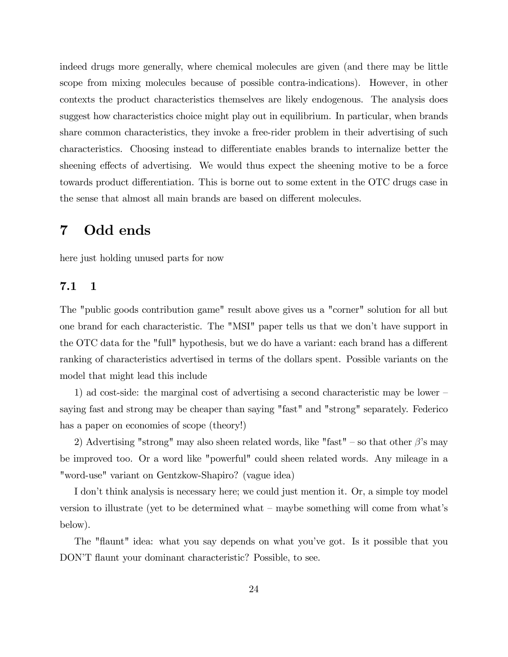indeed drugs more generally, where chemical molecules are given (and there may be little scope from mixing molecules because of possible contra-indications). However, in other contexts the product characteristics themselves are likely endogenous. The analysis does suggest how characteristics choice might play out in equilibrium. In particular, when brands share common characteristics, they invoke a free-rider problem in their advertising of such characteristics. Choosing instead to differentiate enables brands to internalize better the sheening effects of advertising. We would thus expect the sheening motive to be a force towards product differentiation. This is borne out to some extent in the OTC drugs case in the sense that almost all main brands are based on different molecules.

## 7 Odd ends

here just holding unused parts for now

### 7.1 1

The "public goods contribution game" result above gives us a "corner" solution for all but one brand for each characteristic. The "MSI" paper tells us that we donít have support in the OTC data for the "full" hypothesis, but we do have a variant: each brand has a different ranking of characteristics advertised in terms of the dollars spent. Possible variants on the model that might lead this include

1) ad cost-side: the marginal cost of advertising a second characteristic may be lower  $-\frac{1}{2}$ saying fast and strong may be cheaper than saying "fast" and "strong" separately. Federico has a paper on economies of scope (theory!)

2) Advertising "strong" may also sheen related words, like "fast" – so that other  $\beta$ 's may be improved too. Or a word like "powerful" could sheen related words. Any mileage in a "word-use" variant on Gentzkow-Shapiro? (vague idea)

I don't think analysis is necessary here; we could just mention it. Or, a simple toy model version to illustrate (yet to be determined what  $-$  maybe something will come from what's below).

The "flaunt" idea: what you say depends on what you've got. Is it possible that you DON'T flaunt your dominant characteristic? Possible, to see.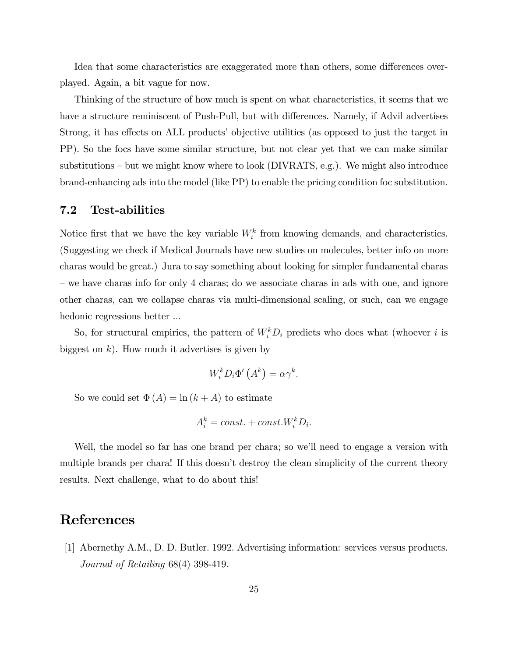Idea that some characteristics are exaggerated more than others, some differences overplayed. Again, a bit vague for now.

Thinking of the structure of how much is spent on what characteristics, it seems that we have a structure reminiscent of Push-Pull, but with differences. Namely, if Advil advertises Strong, it has effects on ALL products' objective utilities (as opposed to just the target in PP). So the focs have some similar structure, but not clear yet that we can make similar substitutions  $-\text{but we might know where to look (DIVRATS, e.g.).}$  We might also introduce brand-enhancing ads into the model (like PP) to enable the pricing condition foc substitution.

### 7.2 Test-abilities

Notice first that we have the key variable  $W_i^k$  from knowing demands, and characteristics. (Suggesting we check if Medical Journals have new studies on molecules, better info on more charas would be great.) Jura to say something about looking for simpler fundamental charas – we have charas info for only 4 charas; do we associate charas in ads with one, and ignore other charas, can we collapse charas via multi-dimensional scaling, or such, can we engage hedonic regressions better ...

So, for structural empirics, the pattern of  $W_i^k D_i$  predicts who does what (whoever i is biggest on  $k$ ). How much it advertises is given by

$$
W_i^k D_i \Phi'\left(A^k\right) = \alpha \gamma^k.
$$

So we could set  $\Phi(A) = \ln (k + A)$  to estimate

$$
A_i^k = const. + const. W_i^k D_i.
$$

Well, the model so far has one brand per chara; so we'll need to engage a version with multiple brands per chara! If this doesn't destroy the clean simplicity of the current theory results. Next challenge, what to do about this!

### References

[1] Abernethy A.M., D. D. Butler. 1992. Advertising information: services versus products. Journal of Retailing 68(4) 398-419.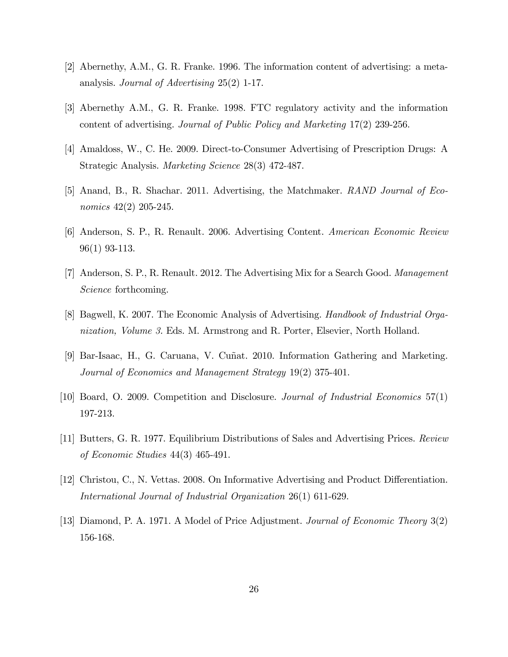- [2] Abernethy, A.M., G. R. Franke. 1996. The information content of advertising: a metaanalysis. Journal of Advertising 25(2) 1-17.
- [3] Abernethy A.M., G. R. Franke. 1998. FTC regulatory activity and the information content of advertising. Journal of Public Policy and Marketing 17(2) 239-256.
- [4] Amaldoss, W., C. He. 2009. Direct-to-Consumer Advertising of Prescription Drugs: A Strategic Analysis. Marketing Science 28(3) 472-487.
- [5] Anand, B., R. Shachar. 2011. Advertising, the Matchmaker. RAND Journal of Economics 42(2) 205-245.
- [6] Anderson, S. P., R. Renault. 2006. Advertising Content. American Economic Review 96(1) 93-113.
- [7] Anderson, S. P., R. Renault. 2012. The Advertising Mix for a Search Good. Management Science forthcoming.
- [8] Bagwell, K. 2007. The Economic Analysis of Advertising. Handbook of Industrial Organization, Volume 3. Eds. M. Armstrong and R. Porter, Elsevier, North Holland.
- [9] Bar-Isaac, H., G. Caruana, V. Cuñat. 2010. Information Gathering and Marketing. Journal of Economics and Management Strategy 19(2) 375-401.
- [10] Board, O. 2009. Competition and Disclosure. Journal of Industrial Economics 57(1) 197-213.
- [11] Butters, G. R. 1977. Equilibrium Distributions of Sales and Advertising Prices. Review of Economic Studies 44(3) 465-491.
- [12] Christou, C., N. Vettas. 2008. On Informative Advertising and Product Differentiation. International Journal of Industrial Organization 26(1) 611-629.
- [13] Diamond, P. A. 1971. A Model of Price Adjustment. Journal of Economic Theory 3(2) 156-168.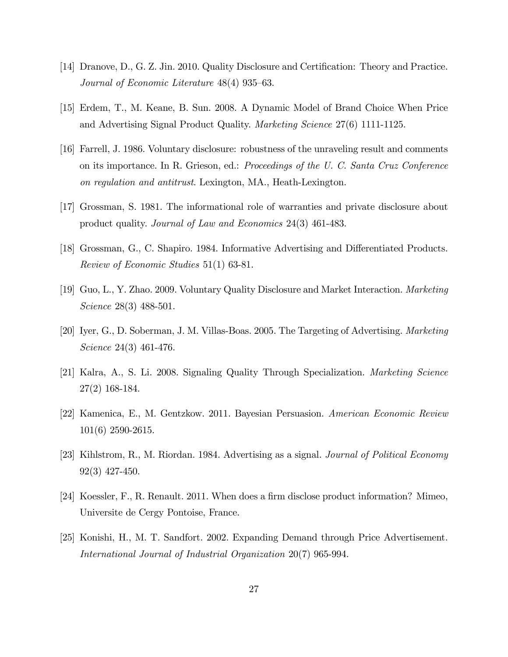- [14] Dranove, D., G. Z. Jin. 2010. Quality Disclosure and Certification: Theory and Practice. Journal of Economic Literature  $48(4)$  935–63.
- [15] Erdem, T., M. Keane, B. Sun. 2008. A Dynamic Model of Brand Choice When Price and Advertising Signal Product Quality. Marketing Science 27(6) 1111-1125.
- [16] Farrell, J. 1986. Voluntary disclosure: robustness of the unraveling result and comments on its importance. In R. Grieson, ed.: Proceedings of the U. C. Santa Cruz Conference on regulation and antitrust. Lexington, MA., Heath-Lexington.
- [17] Grossman, S. 1981. The informational role of warranties and private disclosure about product quality. Journal of Law and Economics 24(3) 461-483.
- [18] Grossman, G., C. Shapiro. 1984. Informative Advertising and Differentiated Products. Review of Economic Studies 51(1) 63-81.
- [19] Guo, L., Y. Zhao. 2009. Voluntary Quality Disclosure and Market Interaction. Marketing Science 28(3) 488-501.
- [20] Iyer, G., D. Soberman, J. M. Villas-Boas. 2005. The Targeting of Advertising. Marketing Science 24(3) 461-476.
- [21] Kalra, A., S. Li. 2008. Signaling Quality Through Specialization. Marketing Science 27(2) 168-184.
- [22] Kamenica, E., M. Gentzkow. 2011. Bayesian Persuasion. American Economic Review 101(6) 2590-2615.
- [23] Kihlstrom, R., M. Riordan. 1984. Advertising as a signal. Journal of Political Economy 92(3) 427-450.
- [24] Koessler, F., R. Renault. 2011. When does a firm disclose product information? Mimeo, Universite de Cergy Pontoise, France.
- [25] Konishi, H., M. T. Sandfort. 2002. Expanding Demand through Price Advertisement. International Journal of Industrial Organization 20(7) 965-994.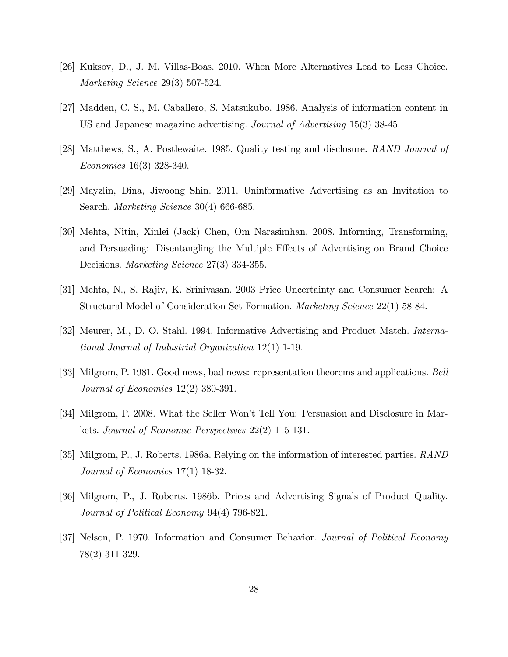- [26] Kuksov, D., J. M. Villas-Boas. 2010. When More Alternatives Lead to Less Choice. Marketing Science 29(3) 507-524.
- [27] Madden, C. S., M. Caballero, S. Matsukubo. 1986. Analysis of information content in US and Japanese magazine advertising. Journal of Advertising 15(3) 38-45.
- [28] Matthews, S., A. Postlewaite. 1985. Quality testing and disclosure. RAND Journal of Economics 16(3) 328-340.
- [29] Mayzlin, Dina, Jiwoong Shin. 2011. Uninformative Advertising as an Invitation to Search. Marketing Science 30(4) 666-685.
- [30] Mehta, Nitin, Xinlei (Jack) Chen, Om Narasimhan. 2008. Informing, Transforming, and Persuading: Disentangling the Multiple Effects of Advertising on Brand Choice Decisions. *Marketing Science* 27(3) 334-355.
- [31] Mehta, N., S. Rajiv, K. Srinivasan. 2003 Price Uncertainty and Consumer Search: A Structural Model of Consideration Set Formation. Marketing Science 22(1) 58-84.
- [32] Meurer, M., D. O. Stahl. 1994. Informative Advertising and Product Match. International Journal of Industrial Organization 12(1) 1-19.
- [33] Milgrom, P. 1981. Good news, bad news: representation theorems and applications. Bell Journal of Economics 12(2) 380-391.
- [34] Milgrom, P. 2008. What the Seller Wonít Tell You: Persuasion and Disclosure in Markets. Journal of Economic Perspectives 22(2) 115-131.
- [35] Milgrom, P., J. Roberts. 1986a. Relying on the information of interested parties. RAND Journal of Economics 17(1) 18-32.
- [36] Milgrom, P., J. Roberts. 1986b. Prices and Advertising Signals of Product Quality. Journal of Political Economy 94(4) 796-821.
- [37] Nelson, P. 1970. Information and Consumer Behavior. Journal of Political Economy 78(2) 311-329.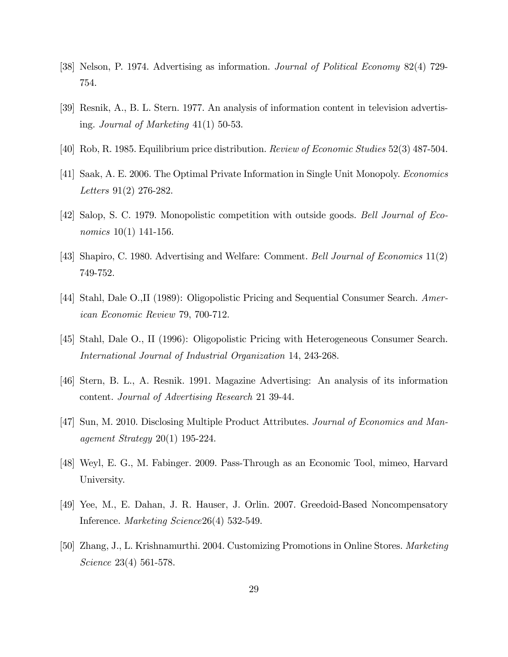- [38] Nelson, P. 1974. Advertising as information. Journal of Political Economy 82(4) 729- 754.
- [39] Resnik, A., B. L. Stern. 1977. An analysis of information content in television advertising. Journal of Marketing  $41(1)$  50-53.
- [40] Rob, R. 1985. Equilibrium price distribution. Review of Economic Studies 52(3) 487-504.
- [41] Saak, A. E. 2006. The Optimal Private Information in Single Unit Monopoly. Economics Letters 91(2) 276-282.
- [42] Salop, S. C. 1979. Monopolistic competition with outside goods. Bell Journal of Economics 10(1) 141-156.
- [43] Shapiro, C. 1980. Advertising and Welfare: Comment. Bell Journal of Economics 11(2) 749-752.
- [44] Stahl, Dale O.,II (1989): Oligopolistic Pricing and Sequential Consumer Search. American Economic Review 79, 700-712.
- [45] Stahl, Dale O., II (1996): Oligopolistic Pricing with Heterogeneous Consumer Search. International Journal of Industrial Organization 14, 243-268.
- [46] Stern, B. L., A. Resnik. 1991. Magazine Advertising: An analysis of its information content. Journal of Advertising Research 21 39-44.
- [47] Sun, M. 2010. Disclosing Multiple Product Attributes. Journal of Economics and Management Strategy 20(1) 195-224.
- [48] Weyl, E. G., M. Fabinger. 2009. Pass-Through as an Economic Tool, mimeo, Harvard University.
- [49] Yee, M., E. Dahan, J. R. Hauser, J. Orlin. 2007. Greedoid-Based Noncompensatory Inference. Marketing Science26(4) 532-549.
- [50] Zhang, J., L. Krishnamurthi. 2004. Customizing Promotions in Online Stores. Marketing Science 23(4) 561-578.